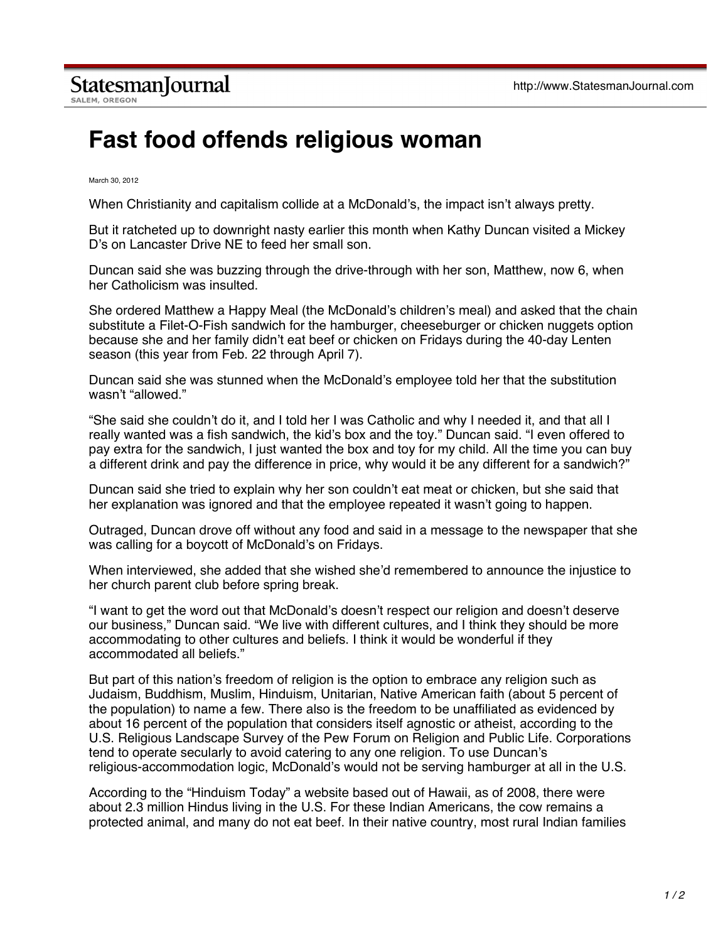## **Fast food offends religious woman**

March 30, 2012

When Christianity and capitalism collide at a McDonald's, the impact isn't always pretty.

But it ratcheted up to downright nasty earlier this month when Kathy Duncan visited a Mickey D's on Lancaster Drive NE to feed her small son.

Duncan said she was buzzing through the drive-through with her son, Matthew, now 6, when her Catholicism was insulted.

She ordered Matthew a Happy Meal (the McDonald's children's meal) and asked that the chain substitute a Filet-O-Fish sandwich for the hamburger, cheeseburger or chicken nuggets option because she and her family didn't eat beef or chicken on Fridays during the 40-day Lenten season (this year from Feb. 22 through April 7).

Duncan said she was stunned when the McDonald's employee told her that the substitution wasn't "allowed."

"She said she couldn't do it, and I told her I was Catholic and why I needed it, and that all I really wanted was a fish sandwich, the kid's box and the toy." Duncan said. "I even offered to pay extra for the sandwich, I just wanted the box and toy for my child. All the time you can buy a different drink and pay the difference in price, why would it be any different for a sandwich?"

Duncan said she tried to explain why her son couldn't eat meat or chicken, but she said that her explanation was ignored and that the employee repeated it wasn't going to happen.

Outraged, Duncan drove off without any food and said in a message to the newspaper that she was calling for a boycott of McDonald's on Fridays.

When interviewed, she added that she wished she'd remembered to announce the injustice to her church parent club before spring break.

"I want to get the word out that McDonald's doesn't respect our religion and doesn't deserve our business," Duncan said. "We live with different cultures, and I think they should be more accommodating to other cultures and beliefs. I think it would be wonderful if they accommodated all beliefs."

But part of this nation's freedom of religion is the option to embrace any religion such as Judaism, Buddhism, Muslim, Hinduism, Unitarian, Native American faith (about 5 percent of the population) to name a few. There also is the freedom to be unaffiliated as evidenced by about 16 percent of the population that considers itself agnostic or atheist, according to the U.S. Religious Landscape Survey of the Pew Forum on Religion and Public Life. Corporations tend to operate secularly to avoid catering to any one religion. To use Duncan's religious-accommodation logic, McDonald's would not be serving hamburger at all in the U.S.

According to the "Hinduism Today" a website based out of Hawaii, as of 2008, there were about 2.3 million Hindus living in the U.S. For these Indian Americans, the cow remains a protected animal, and many do not eat beef. In their native country, most rural Indian families